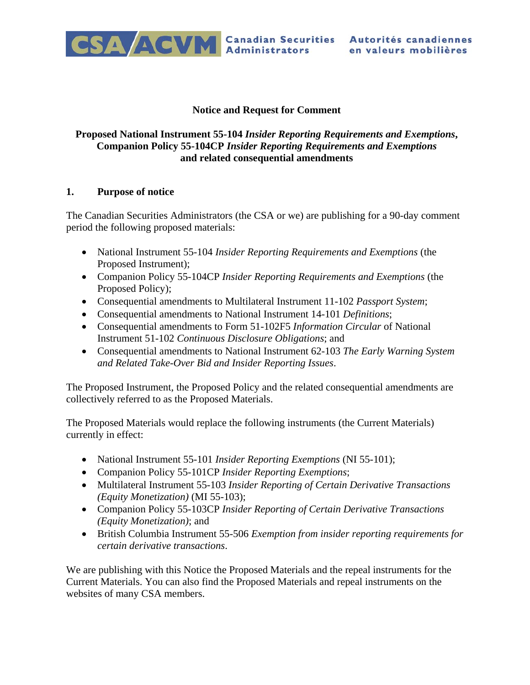

#### **Notice and Request for Comment**

### **Proposed National Instrument 55-104** *Insider Reporting Requirements and Exemptions***, Companion Policy 55-104CP** *Insider Reporting Requirements and Exemptions* **and related consequential amendments**

#### **1. Purpose of notice**

The Canadian Securities Administrators (the CSA or we) are publishing for a 90-day comment period the following proposed materials:

- National Instrument 55-104 *Insider Reporting Requirements and Exemptions* (the Proposed Instrument);
- Companion Policy 55-104CP *Insider Reporting Requirements and Exemptions* (the Proposed Policy);
- Consequential amendments to Multilateral Instrument 11-102 *Passport System*;
- Consequential amendments to National Instrument 14-101 *Definitions*;
- Consequential amendments to Form 51-102F5 *Information Circular* of National Instrument 51-102 *Continuous Disclosure Obligations*; and
- Consequential amendments to National Instrument 62-103 *The Early Warning System and Related Take-Over Bid and Insider Reporting Issues*.

The Proposed Instrument, the Proposed Policy and the related consequential amendments are collectively referred to as the Proposed Materials.

The Proposed Materials would replace the following instruments (the Current Materials) currently in effect:

- National Instrument 55-101 *Insider Reporting Exemptions* (NI 55-101);
- Companion Policy 55-101CP *Insider Reporting Exemptions*;
- Multilateral Instrument 55-103 *Insider Reporting of Certain Derivative Transactions (Equity Monetization)* (MI 55-103);
- Companion Policy 55-103CP *Insider Reporting of Certain Derivative Transactions (Equity Monetization)*; and
- British Columbia Instrument 55-506 *Exemption from insider reporting requirements for certain derivative transactions*.

We are publishing with this Notice the Proposed Materials and the repeal instruments for the Current Materials. You can also find the Proposed Materials and repeal instruments on the websites of many CSA members.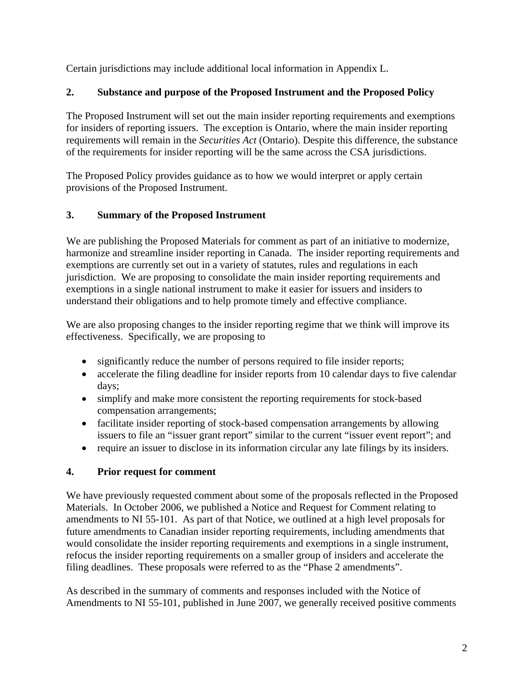Certain jurisdictions may include additional local information in Appendix L.

# **2. Substance and purpose of the Proposed Instrument and the Proposed Policy**

The Proposed Instrument will set out the main insider reporting requirements and exemptions for insiders of reporting issuers. The exception is Ontario, where the main insider reporting requirements will remain in the *Securities Act* (Ontario). Despite this difference, the substance of the requirements for insider reporting will be the same across the CSA jurisdictions.

The Proposed Policy provides guidance as to how we would interpret or apply certain provisions of the Proposed Instrument.

## **3. Summary of the Proposed Instrument**

We are publishing the Proposed Materials for comment as part of an initiative to modernize, harmonize and streamline insider reporting in Canada. The insider reporting requirements and exemptions are currently set out in a variety of statutes, rules and regulations in each jurisdiction. We are proposing to consolidate the main insider reporting requirements and exemptions in a single national instrument to make it easier for issuers and insiders to understand their obligations and to help promote timely and effective compliance.

We are also proposing changes to the insider reporting regime that we think will improve its effectiveness. Specifically, we are proposing to

- significantly reduce the number of persons required to file insider reports;
- accelerate the filing deadline for insider reports from 10 calendar days to five calendar days;
- simplify and make more consistent the reporting requirements for stock-based compensation arrangements;
- facilitate insider reporting of stock-based compensation arrangements by allowing issuers to file an "issuer grant report" similar to the current "issuer event report"; and
- require an issuer to disclose in its information circular any late filings by its insiders.

# **4. Prior request for comment**

We have previously requested comment about some of the proposals reflected in the Proposed Materials. In October 2006, we published a Notice and Request for Comment relating to amendments to NI 55-101. As part of that Notice, we outlined at a high level proposals for future amendments to Canadian insider reporting requirements, including amendments that would consolidate the insider reporting requirements and exemptions in a single instrument, refocus the insider reporting requirements on a smaller group of insiders and accelerate the filing deadlines. These proposals were referred to as the "Phase 2 amendments".

As described in the summary of comments and responses included with the Notice of Amendments to NI 55-101, published in June 2007, we generally received positive comments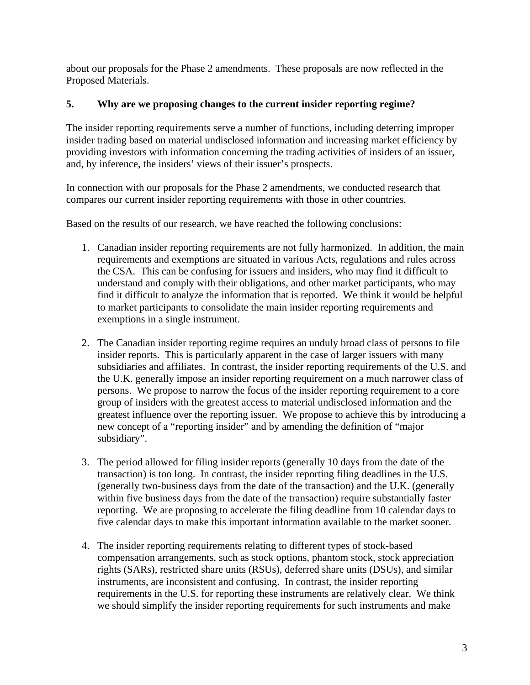about our proposals for the Phase 2 amendments. These proposals are now reflected in the Proposed Materials.

### **5. Why are we proposing changes to the current insider reporting regime?**

The insider reporting requirements serve a number of functions, including deterring improper insider trading based on material undisclosed information and increasing market efficiency by providing investors with information concerning the trading activities of insiders of an issuer, and, by inference, the insiders' views of their issuer's prospects.

In connection with our proposals for the Phase 2 amendments, we conducted research that compares our current insider reporting requirements with those in other countries.

Based on the results of our research, we have reached the following conclusions:

- 1. Canadian insider reporting requirements are not fully harmonized. In addition, the main requirements and exemptions are situated in various Acts, regulations and rules across the CSA. This can be confusing for issuers and insiders, who may find it difficult to understand and comply with their obligations, and other market participants, who may find it difficult to analyze the information that is reported. We think it would be helpful to market participants to consolidate the main insider reporting requirements and exemptions in a single instrument.
- 2. The Canadian insider reporting regime requires an unduly broad class of persons to file insider reports. This is particularly apparent in the case of larger issuers with many subsidiaries and affiliates. In contrast, the insider reporting requirements of the U.S. and the U.K. generally impose an insider reporting requirement on a much narrower class of persons. We propose to narrow the focus of the insider reporting requirement to a core group of insiders with the greatest access to material undisclosed information and the greatest influence over the reporting issuer. We propose to achieve this by introducing a new concept of a "reporting insider" and by amending the definition of "major subsidiary".
- 3. The period allowed for filing insider reports (generally 10 days from the date of the transaction) is too long. In contrast, the insider reporting filing deadlines in the U.S. (generally two-business days from the date of the transaction) and the U.K. (generally within five business days from the date of the transaction) require substantially faster reporting. We are proposing to accelerate the filing deadline from 10 calendar days to five calendar days to make this important information available to the market sooner.
- 4. The insider reporting requirements relating to different types of stock-based compensation arrangements, such as stock options, phantom stock, stock appreciation rights (SARs), restricted share units (RSUs), deferred share units (DSUs), and similar instruments, are inconsistent and confusing. In contrast, the insider reporting requirements in the U.S. for reporting these instruments are relatively clear. We think we should simplify the insider reporting requirements for such instruments and make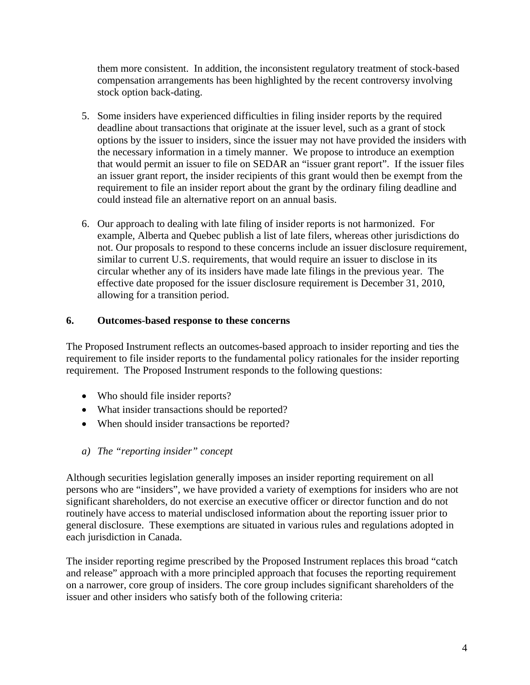them more consistent. In addition, the inconsistent regulatory treatment of stock-based compensation arrangements has been highlighted by the recent controversy involving stock option back-dating.

- 5. Some insiders have experienced difficulties in filing insider reports by the required deadline about transactions that originate at the issuer level, such as a grant of stock options by the issuer to insiders, since the issuer may not have provided the insiders with the necessary information in a timely manner. We propose to introduce an exemption that would permit an issuer to file on SEDAR an "issuer grant report". If the issuer files an issuer grant report, the insider recipients of this grant would then be exempt from the requirement to file an insider report about the grant by the ordinary filing deadline and could instead file an alternative report on an annual basis.
- 6. Our approach to dealing with late filing of insider reports is not harmonized. For example, Alberta and Quebec publish a list of late filers, whereas other jurisdictions do not. Our proposals to respond to these concerns include an issuer disclosure requirement, similar to current U.S. requirements, that would require an issuer to disclose in its circular whether any of its insiders have made late filings in the previous year. The effective date proposed for the issuer disclosure requirement is December 31, 2010, allowing for a transition period.

### **6. Outcomes-based response to these concerns**

The Proposed Instrument reflects an outcomes-based approach to insider reporting and ties the requirement to file insider reports to the fundamental policy rationales for the insider reporting requirement. The Proposed Instrument responds to the following questions:

- Who should file insider reports?
- What insider transactions should be reported?
- When should insider transactions be reported?
- *a) The "reporting insider" concept*

Although securities legislation generally imposes an insider reporting requirement on all persons who are "insiders", we have provided a variety of exemptions for insiders who are not significant shareholders, do not exercise an executive officer or director function and do not routinely have access to material undisclosed information about the reporting issuer prior to general disclosure. These exemptions are situated in various rules and regulations adopted in each jurisdiction in Canada.

The insider reporting regime prescribed by the Proposed Instrument replaces this broad "catch and release" approach with a more principled approach that focuses the reporting requirement on a narrower, core group of insiders. The core group includes significant shareholders of the issuer and other insiders who satisfy both of the following criteria: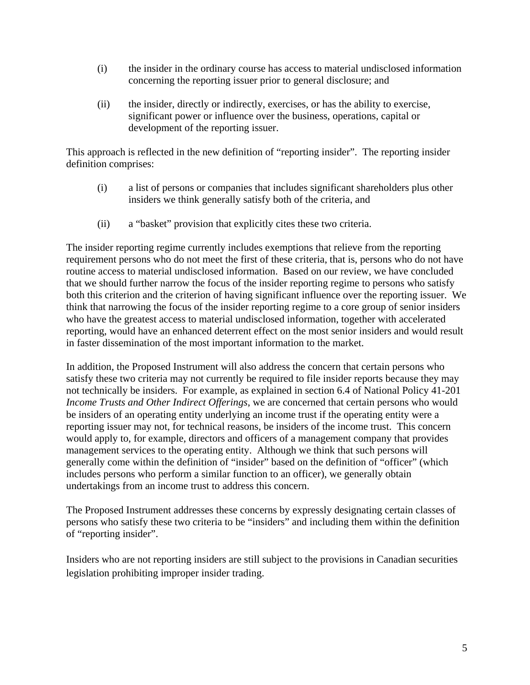- (i) the insider in the ordinary course has access to material undisclosed information concerning the reporting issuer prior to general disclosure; and
- (ii) the insider, directly or indirectly, exercises, or has the ability to exercise, significant power or influence over the business, operations, capital or development of the reporting issuer.

This approach is reflected in the new definition of "reporting insider". The reporting insider definition comprises:

- (i) a list of persons or companies that includes significant shareholders plus other insiders we think generally satisfy both of the criteria, and
- (ii) a "basket" provision that explicitly cites these two criteria.

The insider reporting regime currently includes exemptions that relieve from the reporting requirement persons who do not meet the first of these criteria, that is, persons who do not have routine access to material undisclosed information. Based on our review, we have concluded that we should further narrow the focus of the insider reporting regime to persons who satisfy both this criterion and the criterion of having significant influence over the reporting issuer. We think that narrowing the focus of the insider reporting regime to a core group of senior insiders who have the greatest access to material undisclosed information, together with accelerated reporting, would have an enhanced deterrent effect on the most senior insiders and would result in faster dissemination of the most important information to the market.

In addition, the Proposed Instrument will also address the concern that certain persons who satisfy these two criteria may not currently be required to file insider reports because they may not technically be insiders. For example, as explained in section 6.4 of National Policy 41-201 *Income Trusts and Other Indirect Offerings*, we are concerned that certain persons who would be insiders of an operating entity underlying an income trust if the operating entity were a reporting issuer may not, for technical reasons, be insiders of the income trust. This concern would apply to, for example, directors and officers of a management company that provides management services to the operating entity. Although we think that such persons will generally come within the definition of "insider" based on the definition of "officer" (which includes persons who perform a similar function to an officer), we generally obtain undertakings from an income trust to address this concern.

The Proposed Instrument addresses these concerns by expressly designating certain classes of persons who satisfy these two criteria to be "insiders" and including them within the definition of "reporting insider".

Insiders who are not reporting insiders are still subject to the provisions in Canadian securities legislation prohibiting improper insider trading.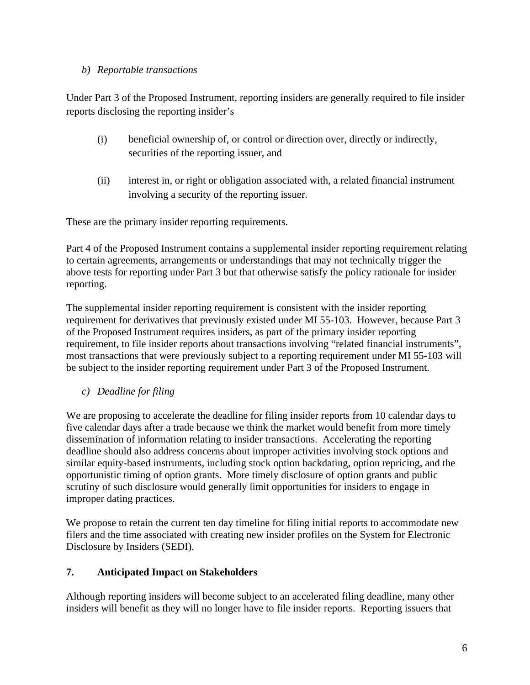### *b) Reportable transactions*

Under Part 3 of the Proposed Instrument, reporting insiders are generally required to file insider reports disclosing the reporting insider's

- (i) beneficial ownership of, or control or direction over, directly or indirectly, securities of the reporting issuer, and
- (ii) interest in, or right or obligation associated with, a related financial instrument involving a security of the reporting issuer.

These are the primary insider reporting requirements.

Part 4 of the Proposed Instrument contains a supplemental insider reporting requirement relating to certain agreements, arrangements or understandings that may not technically trigger the above tests for reporting under Part 3 but that otherwise satisfy the policy rationale for insider reporting.

The supplemental insider reporting requirement is consistent with the insider reporting requirement for derivatives that previously existed under MI 55-103. However, because Part 3 of the Proposed Instrument requires insiders, as part of the primary insider reporting requirement, to file insider reports about transactions involving "related financial instruments", most transactions that were previously subject to a reporting requirement under MI 55-103 will be subject to the insider reporting requirement under Part 3 of the Proposed Instrument.

*c) Deadline for filing* 

We are proposing to accelerate the deadline for filing insider reports from 10 calendar days to five calendar days after a trade because we think the market would benefit from more timely dissemination of information relating to insider transactions. Accelerating the reporting deadline should also address concerns about improper activities involving stock options and similar equity-based instruments, including stock option backdating, option repricing, and the opportunistic timing of option grants. More timely disclosure of option grants and public scrutiny of such disclosure would generally limit opportunities for insiders to engage in improper dating practices.

We propose to retain the current ten day timeline for filing initial reports to accommodate new filers and the time associated with creating new insider profiles on the System for Electronic Disclosure by Insiders (SEDI).

# **7. Anticipated Impact on Stakeholders**

Although reporting insiders will become subject to an accelerated filing deadline, many other insiders will benefit as they will no longer have to file insider reports. Reporting issuers that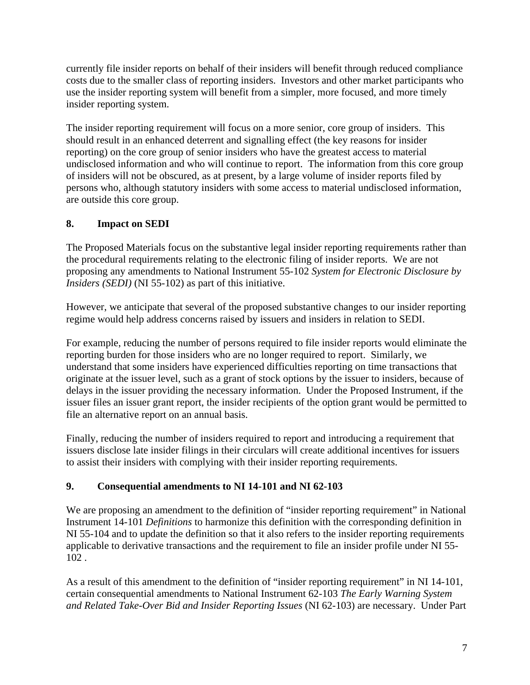currently file insider reports on behalf of their insiders will benefit through reduced compliance costs due to the smaller class of reporting insiders. Investors and other market participants who use the insider reporting system will benefit from a simpler, more focused, and more timely insider reporting system.

The insider reporting requirement will focus on a more senior, core group of insiders. This should result in an enhanced deterrent and signalling effect (the key reasons for insider reporting) on the core group of senior insiders who have the greatest access to material undisclosed information and who will continue to report. The information from this core group of insiders will not be obscured, as at present, by a large volume of insider reports filed by persons who, although statutory insiders with some access to material undisclosed information, are outside this core group.

# **8. Impact on SEDI**

The Proposed Materials focus on the substantive legal insider reporting requirements rather than the procedural requirements relating to the electronic filing of insider reports. We are not proposing any amendments to National Instrument 55-102 *System for Electronic Disclosure by Insiders (SEDI)* (NI 55-102) as part of this initiative.

However, we anticipate that several of the proposed substantive changes to our insider reporting regime would help address concerns raised by issuers and insiders in relation to SEDI.

For example, reducing the number of persons required to file insider reports would eliminate the reporting burden for those insiders who are no longer required to report. Similarly, we understand that some insiders have experienced difficulties reporting on time transactions that originate at the issuer level, such as a grant of stock options by the issuer to insiders, because of delays in the issuer providing the necessary information. Under the Proposed Instrument, if the issuer files an issuer grant report, the insider recipients of the option grant would be permitted to file an alternative report on an annual basis.

Finally, reducing the number of insiders required to report and introducing a requirement that issuers disclose late insider filings in their circulars will create additional incentives for issuers to assist their insiders with complying with their insider reporting requirements.

# **9. Consequential amendments to NI 14-101 and NI 62-103**

We are proposing an amendment to the definition of "insider reporting requirement" in National Instrument 14-101 *Definitions* to harmonize this definition with the corresponding definition in NI 55-104 and to update the definition so that it also refers to the insider reporting requirements applicable to derivative transactions and the requirement to file an insider profile under NI 55- 102 .

As a result of this amendment to the definition of "insider reporting requirement" in NI 14-101, certain consequential amendments to National Instrument 62-103 *The Early Warning System and Related Take-Over Bid and Insider Reporting Issues* (NI 62-103) are necessary. Under Part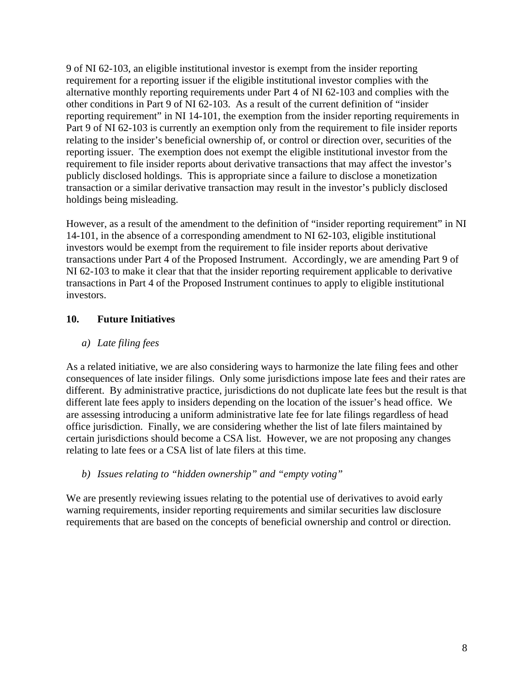9 of NI 62-103, an eligible institutional investor is exempt from the insider reporting requirement for a reporting issuer if the eligible institutional investor complies with the alternative monthly reporting requirements under Part 4 of NI 62-103 and complies with the other conditions in Part 9 of NI 62-103. As a result of the current definition of "insider reporting requirement" in NI 14-101, the exemption from the insider reporting requirements in Part 9 of NI 62-103 is currently an exemption only from the requirement to file insider reports relating to the insider's beneficial ownership of, or control or direction over, securities of the reporting issuer. The exemption does not exempt the eligible institutional investor from the requirement to file insider reports about derivative transactions that may affect the investor's publicly disclosed holdings. This is appropriate since a failure to disclose a monetization transaction or a similar derivative transaction may result in the investor's publicly disclosed holdings being misleading.

However, as a result of the amendment to the definition of "insider reporting requirement" in NI 14-101, in the absence of a corresponding amendment to NI 62-103, eligible institutional investors would be exempt from the requirement to file insider reports about derivative transactions under Part 4 of the Proposed Instrument. Accordingly, we are amending Part 9 of NI 62-103 to make it clear that that the insider reporting requirement applicable to derivative transactions in Part 4 of the Proposed Instrument continues to apply to eligible institutional investors.

# **10. Future Initiatives**

## *a) Late filing fees*

As a related initiative, we are also considering ways to harmonize the late filing fees and other consequences of late insider filings. Only some jurisdictions impose late fees and their rates are different. By administrative practice, jurisdictions do not duplicate late fees but the result is that different late fees apply to insiders depending on the location of the issuer's head office. We are assessing introducing a uniform administrative late fee for late filings regardless of head office jurisdiction. Finally, we are considering whether the list of late filers maintained by certain jurisdictions should become a CSA list. However, we are not proposing any changes relating to late fees or a CSA list of late filers at this time.

*b) Issues relating to "hidden ownership" and "empty voting"* 

We are presently reviewing issues relating to the potential use of derivatives to avoid early warning requirements, insider reporting requirements and similar securities law disclosure requirements that are based on the concepts of beneficial ownership and control or direction.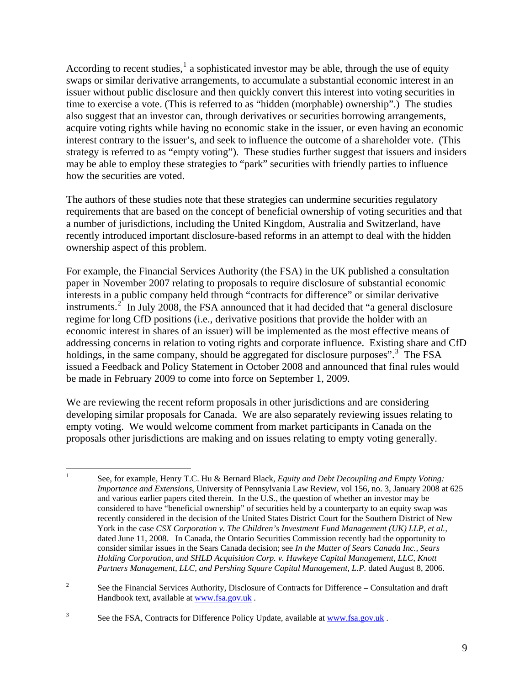According to recent studies,  $1$  a sophisticated investor may be able, through the use of equity swaps or similar derivative arrangements, to accumulate a substantial economic interest in an issuer without public disclosure and then quickly convert this interest into voting securities in time to exercise a vote. (This is referred to as "hidden (morphable) ownership".) The studies also suggest that an investor can, through derivatives or securities borrowing arrangements, acquire voting rights while having no economic stake in the issuer, or even having an economic interest contrary to the issuer's, and seek to influence the outcome of a shareholder vote. (This strategy is referred to as "empty voting"). These studies further suggest that issuers and insiders may be able to employ these strategies to "park" securities with friendly parties to influence how the securities are voted.

The authors of these studies note that these strategies can undermine securities regulatory requirements that are based on the concept of beneficial ownership of voting securities and that a number of jurisdictions, including the United Kingdom, Australia and Switzerland, have recently introduced important disclosure-based reforms in an attempt to deal with the hidden ownership aspect of this problem.

For example, the Financial Services Authority (the FSA) in the UK published a consultation paper in November 2007 relating to proposals to require disclosure of substantial economic interests in a public company held through "contracts for difference" or similar derivative instruments.<sup>[2](#page-8-1)</sup> In July 2008, the FSA announced that it had decided that "a general disclosure regime for long CfD positions (i.e., derivative positions that provide the holder with an economic interest in shares of an issuer) will be implemented as the most effective means of addressing concerns in relation to voting rights and corporate influence. Existing share and CfD holdings, in the same company, should be aggregated for disclosure purposes".<sup>[3](#page-8-2)</sup> The FSA issued a Feedback and Policy Statement in October 2008 and announced that final rules would be made in February 2009 to come into force on September 1, 2009.

We are reviewing the recent reform proposals in other jurisdictions and are considering developing similar proposals for Canada. We are also separately reviewing issues relating to empty voting. We would welcome comment from market participants in Canada on the proposals other jurisdictions are making and on issues relating to empty voting generally.

<span id="page-8-0"></span> $\frac{1}{1}$  See, for example, Henry T.C. Hu & Bernard Black, *Equity and Debt Decoupling and Empty Voting: Importance and Extensions*, University of Pennsylvania Law Review, vol 156, no. 3, January 2008 at 625 and various earlier papers cited therein. In the U.S., the question of whether an investor may be considered to have "beneficial ownership" of securities held by a counterparty to an equity swap was recently considered in the decision of the United States District Court for the Southern District of New York in the case *CSX Corporation v. The Children's Investment Fund Management (UK) LLP, et al.,*  dated June 11, 2008. In Canada, the Ontario Securities Commission recently had the opportunity to consider similar issues in the Sears Canada decision; see *In the Matter of Sears Canada Inc., Sears Holding Corporation, and SHLD Acquisition Corp. v. Hawkeye Capital Management, LLC, Knott Partners Management, LLC, and Pershing Square Capital Management, L.P.* dated August 8, 2006.

<span id="page-8-1"></span><sup>2</sup> See the Financial Services Authority, Disclosure of Contracts for Difference – Consultation and draft Handbook text, available at www.fsa.gov.uk .

<span id="page-8-2"></span><sup>3</sup> See the FSA, Contracts for Difference Policy Update, available at www.fsa.gov.uk.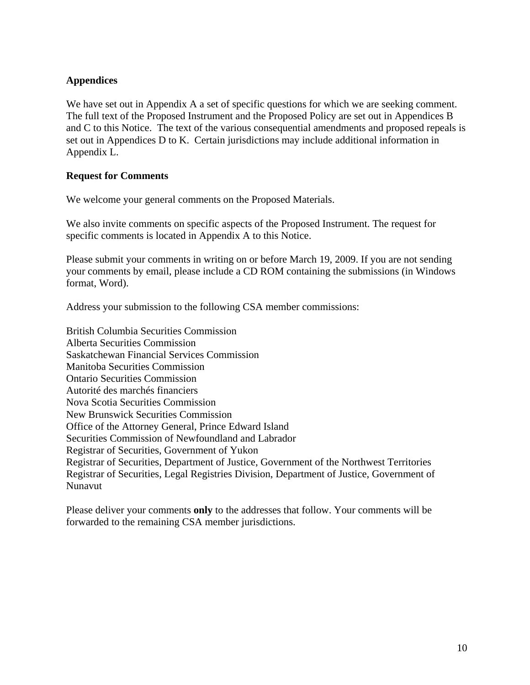### **Appendices**

We have set out in Appendix A a set of specific questions for which we are seeking comment. The full text of the Proposed Instrument and the Proposed Policy are set out in Appendices B and C to this Notice. The text of the various consequential amendments and proposed repeals is set out in Appendices D to K. Certain jurisdictions may include additional information in Appendix L.

#### **Request for Comments**

We welcome your general comments on the Proposed Materials.

We also invite comments on specific aspects of the Proposed Instrument. The request for specific comments is located in Appendix A to this Notice.

Please submit your comments in writing on or before March 19, 2009. If you are not sending your comments by email, please include a CD ROM containing the submissions (in Windows format, Word).

Address your submission to the following CSA member commissions:

British Columbia Securities Commission Alberta Securities Commission Saskatchewan Financial Services Commission Manitoba Securities Commission Ontario Securities Commission Autorité des marchés financiers Nova Scotia Securities Commission New Brunswick Securities Commission Office of the Attorney General, Prince Edward Island Securities Commission of Newfoundland and Labrador Registrar of Securities, Government of Yukon Registrar of Securities, Department of Justice, Government of the Northwest Territories Registrar of Securities, Legal Registries Division, Department of Justice, Government of Nunavut

Please deliver your comments **only** to the addresses that follow. Your comments will be forwarded to the remaining CSA member jurisdictions.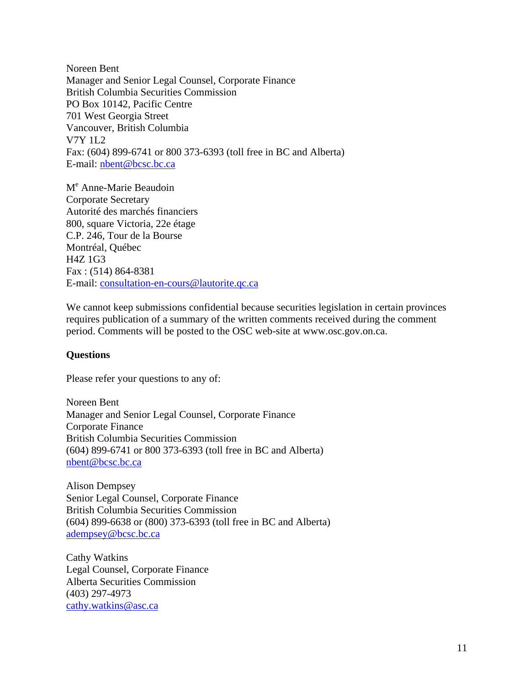Noreen Bent Manager and Senior Legal Counsel, Corporate Finance British Columbia Securities Commission PO Box 10142, Pacific Centre 701 West Georgia Street Vancouver, British Columbia V7Y 1L2 Fax: (604) 899-6741 or 800 373-6393 (toll free in BC and Alberta) E-mail: [nbent@bcsc.bc.ca](mailto:nbent@bcsc.bc.ca) 

M<sup>e</sup> Anne-Marie Beaudoin Corporate Secretary Autorité des marchés financiers 800, square Victoria, 22e étage C.P. 246, Tour de la Bourse Montréal, Québec H4Z 1G3 Fax : (514) 864-8381 E-mail: [consultation-en-cours@lautorite.qc.ca](mailto:consultation-en-cours@lautorite.qc.ca) 

We cannot keep submissions confidential because securities legislation in certain provinces requires publication of a summary of the written comments received during the comment period. Comments will be posted to the OSC web-site at www.osc.gov.on.ca.

#### **Questions**

Please refer your questions to any of:

Noreen Bent Manager and Senior Legal Counsel, Corporate Finance Corporate Finance British Columbia Securities Commission (604) 899-6741 or 800 373-6393 (toll free in BC and Alberta) nbent@bcsc.bc.ca

Alison Dempsey Senior Legal Counsel, Corporate Finance British Columbia Securities Commission (604) 899-6638 or (800) 373-6393 (toll free in BC and Alberta) adempsey@bcsc.bc.ca

Cathy Watkins Legal Counsel, Corporate Finance Alberta Securities Commission (403) 297-4973 cathy.watkins@asc.ca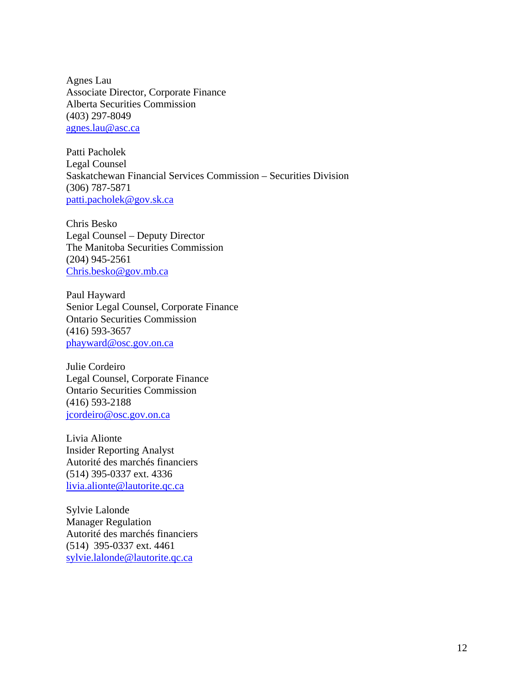Agnes Lau Associate Director, Corporate Finance Alberta Securities Commission (403) 297-8049 agnes.lau@asc.ca

Patti Pacholek Legal Counsel Saskatchewan Financial Services Commission – Securities Division (306) 787-5871 patti.pacholek@gov.sk.ca

Chris Besko Legal Counsel – Deputy Director The Manitoba Securities Commission (204) 945-2561 Chris.besko@gov.mb.ca

Paul Hayward Senior Legal Counsel, Corporate Finance Ontario Securities Commission (416) 593-3657 phayward@osc.gov.on.ca

Julie Cordeiro Legal Counsel, Corporate Finance Ontario Securities Commission (416) 593-2188 jcordeiro@osc.gov.on.ca

Livia Alionte Insider Reporting Analyst Autorité des marchés financiers (514) 395-0337 ext. 4336 livia.alionte@lautorite.qc.ca

Sylvie Lalonde Manager Regulation Autorité des marchés financiers (514) 395-0337 ext. 4461 sylvie.lalonde@lautorite.qc.ca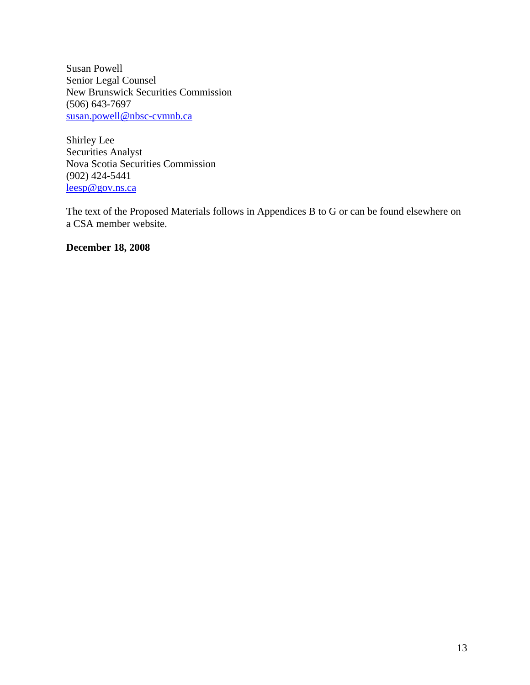Susan Powell Senior Legal Counsel New Brunswick Securities Commission (506) 643-7697 susan.powell@nbsc-cvmnb.ca

Shirley Lee Securities Analyst Nova Scotia Securities Commission (902) 424-5441 leesp@gov.ns.ca

The text of the Proposed Materials follows in Appendices B to G or can be found elsewhere on a CSA member website.

**December 18, 2008**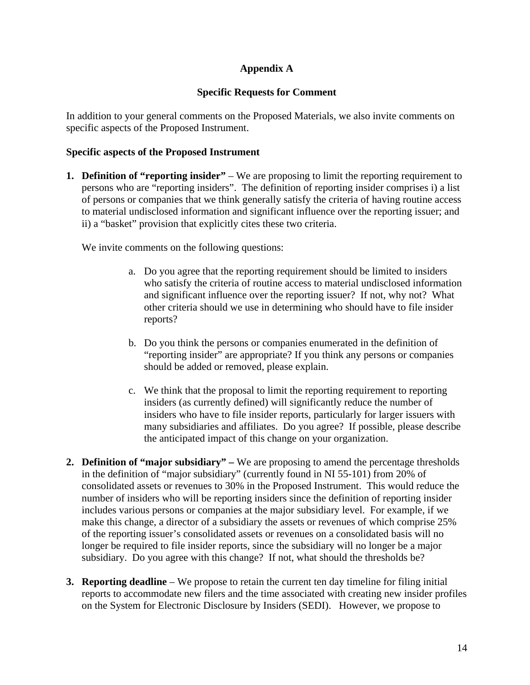## **Appendix A**

### **Specific Requests for Comment**

In addition to your general comments on the Proposed Materials, we also invite comments on specific aspects of the Proposed Instrument.

#### **Specific aspects of the Proposed Instrument**

**1. Definition of "reporting insider"** – We are proposing to limit the reporting requirement to persons who are "reporting insiders". The definition of reporting insider comprises i) a list of persons or companies that we think generally satisfy the criteria of having routine access to material undisclosed information and significant influence over the reporting issuer; and ii) a "basket" provision that explicitly cites these two criteria.

We invite comments on the following questions:

- a. Do you agree that the reporting requirement should be limited to insiders who satisfy the criteria of routine access to material undisclosed information and significant influence over the reporting issuer? If not, why not? What other criteria should we use in determining who should have to file insider reports?
- b. Do you think the persons or companies enumerated in the definition of "reporting insider" are appropriate? If you think any persons or companies should be added or removed, please explain.
- c. We think that the proposal to limit the reporting requirement to reporting insiders (as currently defined) will significantly reduce the number of insiders who have to file insider reports, particularly for larger issuers with many subsidiaries and affiliates. Do you agree? If possible, please describe the anticipated impact of this change on your organization.
- **2. Definition of "major subsidiary"** We are proposing to amend the percentage thresholds in the definition of "major subsidiary" (currently found in NI 55-101) from 20% of consolidated assets or revenues to 30% in the Proposed Instrument. This would reduce the number of insiders who will be reporting insiders since the definition of reporting insider includes various persons or companies at the major subsidiary level. For example, if we make this change, a director of a subsidiary the assets or revenues of which comprise 25% of the reporting issuer's consolidated assets or revenues on a consolidated basis will no longer be required to file insider reports, since the subsidiary will no longer be a major subsidiary. Do you agree with this change? If not, what should the thresholds be?
- **3. Reporting deadline**  We propose to retain the current ten day timeline for filing initial reports to accommodate new filers and the time associated with creating new insider profiles on the System for Electronic Disclosure by Insiders (SEDI). However, we propose to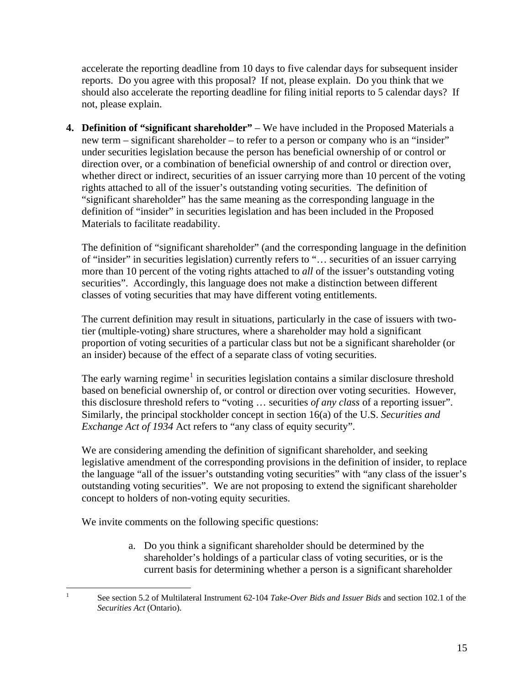accelerate the reporting deadline from 10 days to five calendar days for subsequent insider reports. Do you agree with this proposal? If not, please explain. Do you think that we should also accelerate the reporting deadline for filing initial reports to 5 calendar days? If not, please explain.

**4. Definition of "significant shareholder"** – We have included in the Proposed Materials a new term – significant shareholder – to refer to a person or company who is an "insider" under securities legislation because the person has beneficial ownership of or control or direction over, or a combination of beneficial ownership of and control or direction over, whether direct or indirect, securities of an issuer carrying more than 10 percent of the voting rights attached to all of the issuer's outstanding voting securities. The definition of "significant shareholder" has the same meaning as the corresponding language in the definition of "insider" in securities legislation and has been included in the Proposed Materials to facilitate readability.

The definition of "significant shareholder" (and the corresponding language in the definition of "insider" in securities legislation) currently refers to "… securities of an issuer carrying more than 10 percent of the voting rights attached to *all* of the issuer's outstanding voting securities". Accordingly, this language does not make a distinction between different classes of voting securities that may have different voting entitlements.

The current definition may result in situations, particularly in the case of issuers with twotier (multiple-voting) share structures, where a shareholder may hold a significant proportion of voting securities of a particular class but not be a significant shareholder (or an insider) because of the effect of a separate class of voting securities.

The early warning regime<sup>[1](#page-14-0)</sup> in securities legislation contains a similar disclosure threshold based on beneficial ownership of, or control or direction over voting securities. However, this disclosure threshold refers to "voting … securities *of any class* of a reporting issuer". Similarly, the principal stockholder concept in section 16(a) of the U.S. *Securities and Exchange Act of 1934* Act refers to "any class of equity security".

We are considering amending the definition of significant shareholder, and seeking legislative amendment of the corresponding provisions in the definition of insider, to replace the language "all of the issuer's outstanding voting securities" with "any class of the issuer's outstanding voting securities". We are not proposing to extend the significant shareholder concept to holders of non-voting equity securities.

We invite comments on the following specific questions:

<span id="page-14-0"></span> $\frac{1}{1}$ 

a. Do you think a significant shareholder should be determined by the shareholder's holdings of a particular class of voting securities, or is the current basis for determining whether a person is a significant shareholder

See section 5.2 of Multilateral Instrument 62-104 *Take-Over Bids and Issuer Bids* and section 102.1 of the *Securities Act* (Ontario).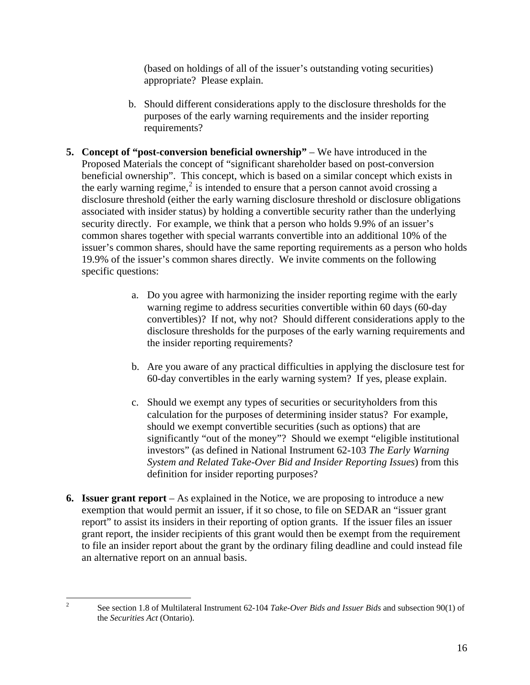(based on holdings of all of the issuer's outstanding voting securities) appropriate? Please explain.

- b. Should different considerations apply to the disclosure thresholds for the purposes of the early warning requirements and the insider reporting requirements?
- **5.** Concept of "post-conversion beneficial ownership" We have introduced in the Proposed Materials the concept of "significant shareholder based on post-conversion beneficial ownership". This concept, which is based on a similar concept which exists in the early warning regime,<sup>[2](#page-15-0)</sup> is intended to ensure that a person cannot avoid crossing a disclosure threshold (either the early warning disclosure threshold or disclosure obligations associated with insider status) by holding a convertible security rather than the underlying security directly. For example, we think that a person who holds 9.9% of an issuer's common shares together with special warrants convertible into an additional 10% of the issuer's common shares, should have the same reporting requirements as a person who holds 19.9% of the issuer's common shares directly. We invite comments on the following specific questions:
	- a. Do you agree with harmonizing the insider reporting regime with the early warning regime to address securities convertible within 60 days (60-day convertibles)? If not, why not? Should different considerations apply to the disclosure thresholds for the purposes of the early warning requirements and the insider reporting requirements?
	- b. Are you aware of any practical difficulties in applying the disclosure test for 60-day convertibles in the early warning system? If yes, please explain.
	- c. Should we exempt any types of securities or securityholders from this calculation for the purposes of determining insider status? For example, should we exempt convertible securities (such as options) that are significantly "out of the money"? Should we exempt "eligible institutional investors" (as defined in National Instrument 62-103 *The Early Warning System and Related Take-Over Bid and Insider Reporting Issues*) from this definition for insider reporting purposes?
- **6. Issuer grant report** As explained in the Notice, we are proposing to introduce a new exemption that would permit an issuer, if it so chose, to file on SEDAR an "issuer grant report" to assist its insiders in their reporting of option grants. If the issuer files an issuer grant report, the insider recipients of this grant would then be exempt from the requirement to file an insider report about the grant by the ordinary filing deadline and could instead file an alternative report on an annual basis.

<span id="page-15-0"></span> $\frac{1}{2}$ 

See section 1.8 of Multilateral Instrument 62-104 *Take-Over Bids and Issuer Bids* and subsection 90(1) of the *Securities Act* (Ontario).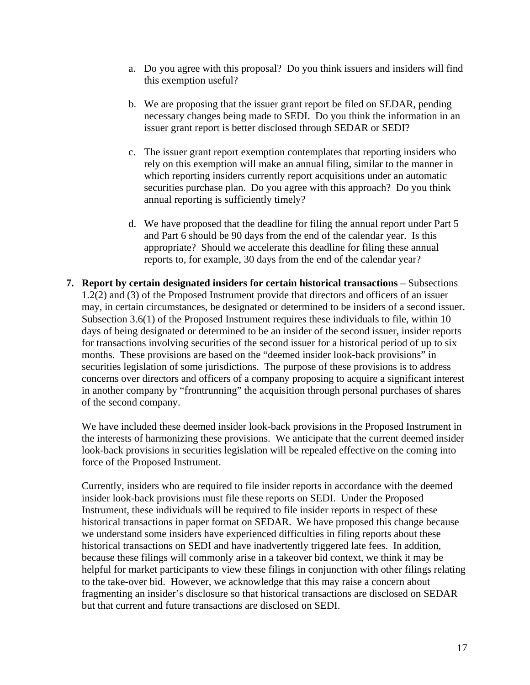- a. Do you agree with this proposal? Do you think issuers and insiders will find this exemption useful?
- b. We are proposing that the issuer grant report be filed on SEDAR, pending necessary changes being made to SEDI. Do you think the information in an issuer grant report is better disclosed through SEDAR or SEDI?
- c. The issuer grant report exemption contemplates that reporting insiders who rely on this exemption will make an annual filing, similar to the manner in which reporting insiders currently report acquisitions under an automatic securities purchase plan. Do you agree with this approach? Do you think annual reporting is sufficiently timely?
- d. We have proposed that the deadline for filing the annual report under Part 5 and Part 6 should be 90 days from the end of the calendar year. Is this appropriate? Should we accelerate this deadline for filing these annual reports to, for example, 30 days from the end of the calendar year?
- **7. Report by certain designated insiders for certain historical transactions** Subsections 1.2(2) and (3) of the Proposed Instrument provide that directors and officers of an issuer may, in certain circumstances, be designated or determined to be insiders of a second issuer. Subsection 3.6(1) of the Proposed Instrument requires these individuals to file, within 10 days of being designated or determined to be an insider of the second issuer, insider reports for transactions involving securities of the second issuer for a historical period of up to six months. These provisions are based on the "deemed insider look-back provisions" in securities legislation of some jurisdictions. The purpose of these provisions is to address concerns over directors and officers of a company proposing to acquire a significant interest in another company by "frontrunning" the acquisition through personal purchases of shares of the second company.

We have included these deemed insider look-back provisions in the Proposed Instrument in the interests of harmonizing these provisions. We anticipate that the current deemed insider look-back provisions in securities legislation will be repealed effective on the coming into force of the Proposed Instrument.

Currently, insiders who are required to file insider reports in accordance with the deemed insider look-back provisions must file these reports on SEDI. Under the Proposed Instrument, these individuals will be required to file insider reports in respect of these historical transactions in paper format on SEDAR. We have proposed this change because we understand some insiders have experienced difficulties in filing reports about these historical transactions on SEDI and have inadvertently triggered late fees. In addition, because these filings will commonly arise in a takeover bid context, we think it may be helpful for market participants to view these filings in conjunction with other filings relating to the take-over bid. However, we acknowledge that this may raise a concern about fragmenting an insider's disclosure so that historical transactions are disclosed on SEDAR but that current and future transactions are disclosed on SEDI.